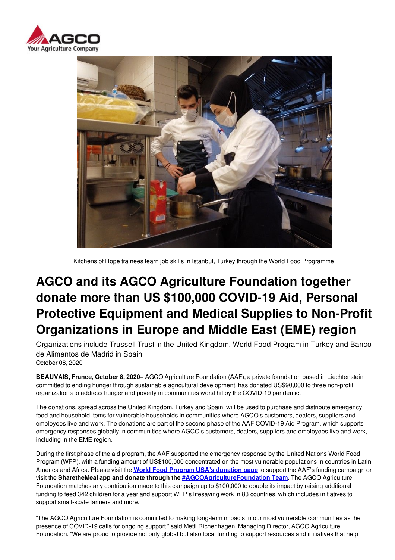



Kitchens of Hope trainees learn job skills in Istanbul, Turkey through the World Food Programme

# **AGCO and its AGCO Agriculture Foundation together donate more than US \$100,000 COVID-19 Aid, Personal Protective Equipment and Medical Supplies to Non-Profit Organizations in Europe and Middle East (EME) region**

Organizations include Trussell Trust in the United Kingdom, World Food Program in Turkey and Banco de Alimentos de Madrid in Spain October 08, 2020

**BEAUVAIS, France, October 8, 2020–** AGCO Agriculture Foundation (AAF), a private foundation based in Liechtenstein committed to ending hunger through sustainable agricultural development, has donated US\$90,000 to three non-profit organizations to address hunger and poverty in communities worst hit by the COVID-19 pandemic.

The donations, spread across the United Kingdom, Turkey and Spain, will be used to purchase and distribute emergency food and household items for vulnerable households in communities where AGCO's customers, dealers, suppliers and employees live and work. The donations are part of the second phase of the AAF COVID-19 Aid Program, which supports emergency responses globally in communities where AGCO's customers, dealers, suppliers and employees live and work, including in the EME region.

During the first phase of the aid program, the AAF supported the emergency response by the United Nations World Food Program (WFP), with a funding amount of US\$100,000 concentrated on the most vulnerable populations in countries in Latin America and Africa. Please visit the **World Food Program USA's donation page** to support the AAF's funding campaign or visit the **SharetheMeal app and donate through the #AGCOAgricultureFoundation Team**. The AGCO Agriculture Foundation matches any contribution made to this campaign up to \$100,000 to double its impact by raising additional funding to feed 342 children for a year and support WFP's lifesaving work in 83 countries, which includes initiatives to support small-scale farmers and more.

"The AGCO Agriculture Foundation is committed to making long-term impacts in our most vulnerable communities as the presence of COVID-19 calls for ongoing support," said Metti Richenhagen, Managing Director, AGCO Agriculture Foundation. "We are proud to provide not only global but also local funding to support resources and initiatives that help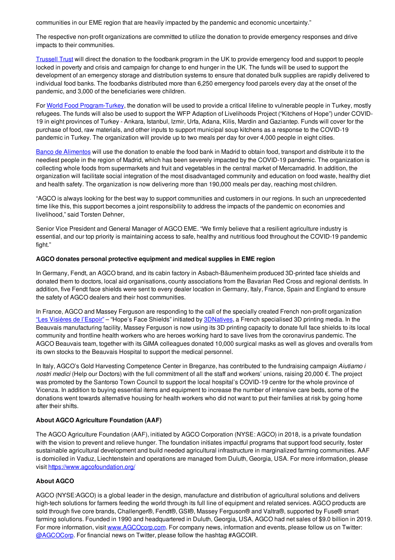communities in our EME region that are heavily impacted by the pandemic and economic uncertainty."

The respective non-profit organizations are committed to utilize the donation to provide emergency responses and drive impacts to their communities.

Trussell Trust will direct the donation to the foodbank program in the UK to provide emergency food and support to people locked in poverty and crisis and campaign for change to end hunger in the UK. The funds will be used to support the development of an emergency storage and distribution systems to ensure that donated bulk supplies are rapidly delivered to individual food banks. The foodbanks distributed more than 6,250 emergency food parcels every day at the onset of the pandemic, and 3,000 of the beneficiaries were children.

For World Food Program-Turkey, the donation will be used to provide a critical lifeline to vulnerable people in Turkey, mostly refugees. The funds will also be used to support the WFP Adaption of Livelihoods Project ("Kitchens of Hope") under COVID-19 in eight provinces of Turkey - Ankara, Istanbul, Izmir, Urfa, Adana, Kilis, Mardin and Gaziantep. Funds will cover for the purchase of food, raw materials, and other inputs to support municipal soup kitchens as a response to the COVID-19 pandemic in Turkey. The organization will provide up to two meals per day for over 4,000 people in eight cities.

Banco de Alimentos will use the donation to enable the food bank in Madrid to obtain food, transport and distribute it to the neediest people in the region of Madrid, which has been severely impacted by the COVID-19 pandemic. The organization is collecting whole foods from supermarkets and fruit and vegetables in the central market of Mercamadrid. In addition, the organization will facilitate social integration of the most disadvantaged community and education on food waste, healthy diet and health safety. The organization is now delivering more than 190,000 meals per day, reaching most children.

"AGCO is always looking for the best way to support communities and customers in our regions. In such an unprecedented time like this, this support becomes a joint responsibility to address the impacts of the pandemic on economies and livelihood," said Torsten Dehner,

Senior Vice President and General Manager of AGCO EME. "We firmly believe that a resilient agriculture industry is essential, and our top priority is maintaining access to safe, healthy and nutritious food throughout the COVID-19 pandemic fight."

#### **AGCO donates personal protective equipment and medical supplies in EME region**

In Germany, Fendt, an AGCO brand, and its cabin factory in Asbach-Bäumenheim produced 3D-printed face shields and donated them to doctors, local aid organisations, county associations from the Bavarian Red Cross and regional dentists. In addition, five Fendt face shields were sent to every dealer location in Germany, Italy, France, Spain and England to ensure the safety of AGCO dealers and their host communities.

In France, AGCO and Massey Ferguson are responding to the call of the specially created French non-profit organization "Les Visières de l'Espoir" – "Hope's Face Shields" initiated by 3DNatives, a French specialised 3D printing media. In the Beauvais manufacturing facility, Massey Ferguson is now using its 3D printing capacity to donate full face shields to its local community and frontline health workers who are heroes working hard to save lives from the coronavirus pandemic. The AGCO Beauvais team, together with its GIMA colleagues donated 10,000 surgical masks as well as gloves and overalls from its own stocks to the Beauvais Hospital to support the medical personnel.

In Italy, AGCO's Gold Harvesting Competence Center in Breganze, has contributed to the fundraising campaign *Aiutiamo i nostri medici* (Help our Doctors) with the full commitment of all the staff and workers' unions, raising 20,000 €. The project was promoted by the Santorso Town Council to support the local hospital's COVID-19 centre for the whole province of Vicenza. In addition to buying essential items and equipment to increase the number of intensive care beds, some of the donations went towards alternative housing for health workers who did not want to put their families at risk by going home after their shifts.

## **About AGCO Agriculture Foundation (AAF)**

The AGCO Agriculture Foundation (AAF), initiated by AGCO Corporation (NYSE: AGCO) in 2018, is a private foundation with the vision to prevent and relieve hunger. The foundation initiates impactful programs that support food security, foster sustainable agricultural development and build needed agricultural infrastructure in marginalized farming communities. AAF is domiciled in Vaduz, Liechtenstein and operations are managed from Duluth, Georgia, USA. For more information, please visit https://www.agcofoundation.org/

## **About AGCO**

AGCO (NYSE:AGCO) is a global leader in the design, manufacture and distribution of agricultural solutions and delivers high-tech solutions for farmers feeding the world through its full line of equipment and related services. AGCO products are sold through five core brands, Challenger®, Fendt®, GSI®, Massey Ferguson® and Valtra®, supported by Fuse® smart farming solutions. Founded in 1990 and headquartered in Duluth, Georgia, USA, AGCO had net sales of \$9.0 billion in 2019. For more information, visit www.AGCOcorp.com. For company news, information and events, please follow us on Twitter: @AGCOCorp. For financial news on Twitter, please follow the hashtag #AGCOIR.